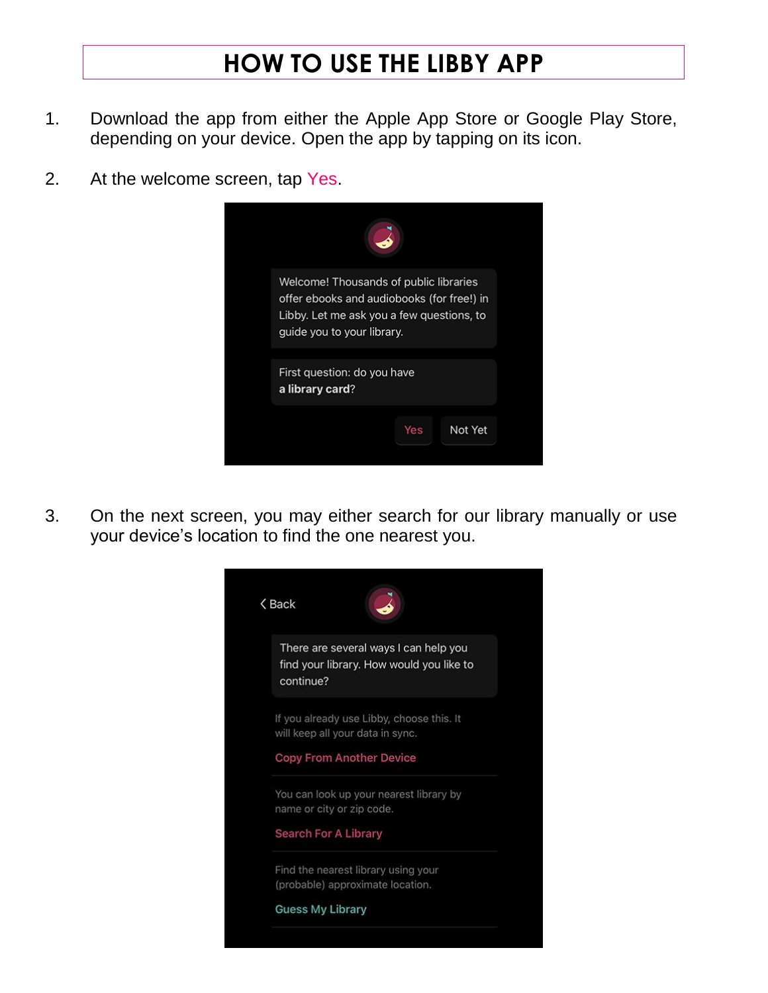## **HOW TO USE THE LIBBY APP**

- 1. Download the app from either the Apple App Store or Google Play Store, depending on your device. Open the app by tapping on its icon.
- 2. At the welcome screen, tap Yes.



3. On the next screen, you may either search for our library manually or use your device's location to find the one nearest you.

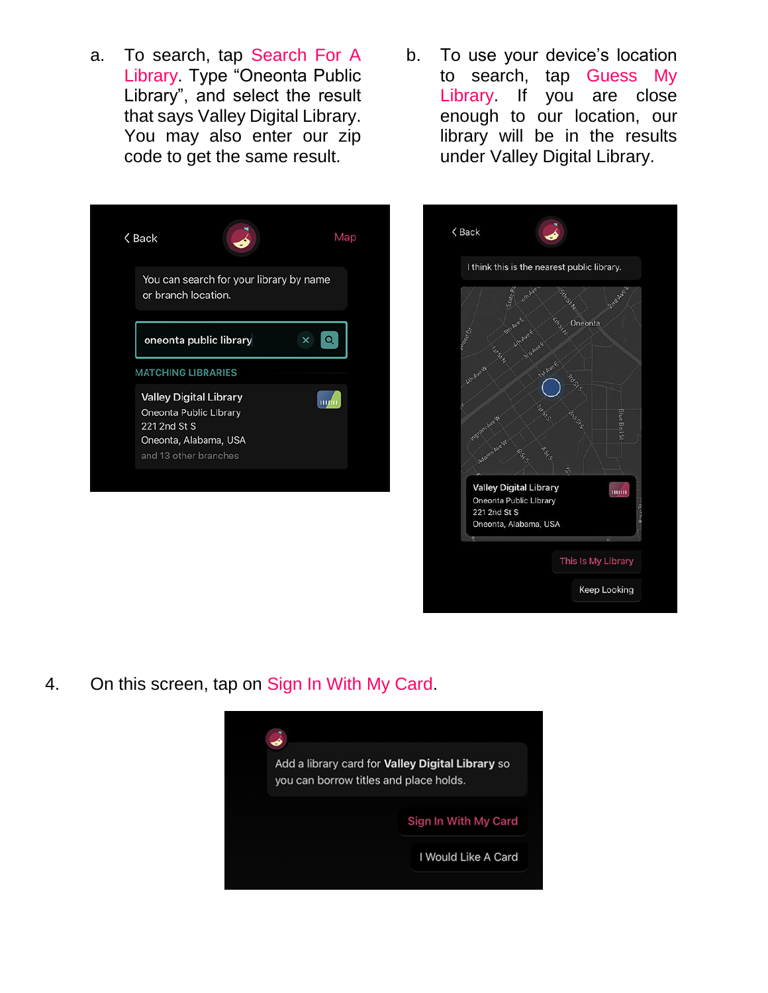a. To search, tap Search For A Library. Type "Oneonta Public Library", and select the result that says Valley Digital Library. You may also enter our zip code to get the same result.







4. On this screen, tap on Sign In With My Card.

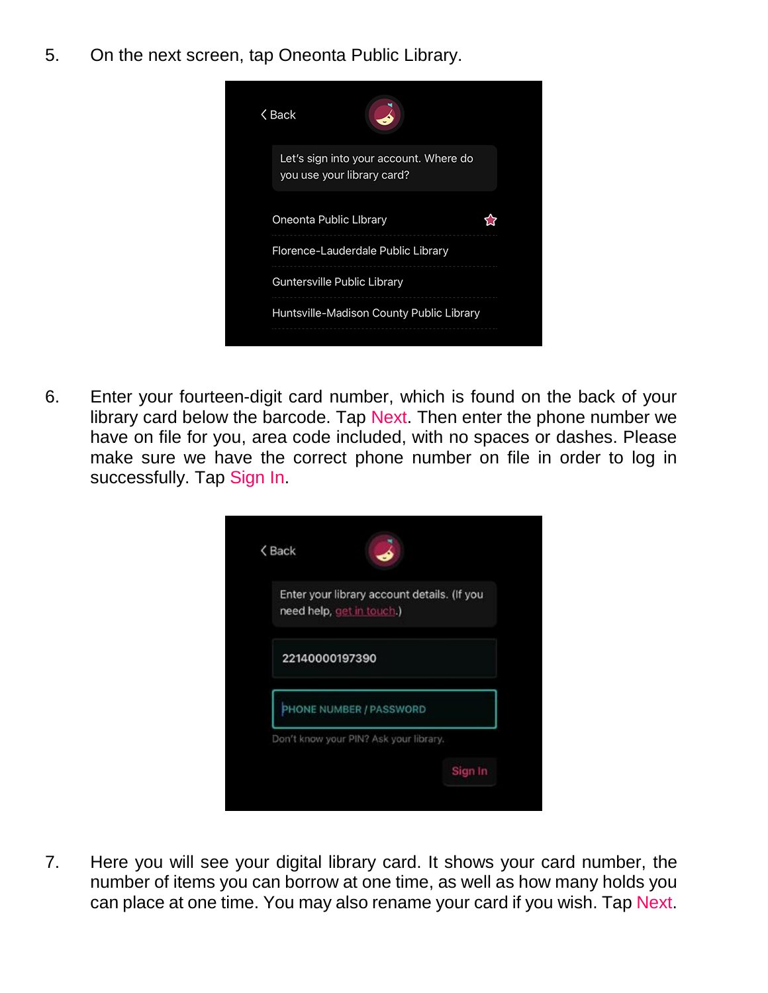5. On the next screen, tap Oneonta Public Library.

| く Back                                                               |  |
|----------------------------------------------------------------------|--|
| Let's sign into your account. Where do<br>you use your library card? |  |
| Oneonta Public Library                                               |  |
| Florence-Lauderdale Public Library                                   |  |
| Guntersville Public Library                                          |  |
| Huntsville-Madison County Public Library                             |  |

6. Enter your fourteen-digit card number, which is found on the back of your library card below the barcode. Tap Next. Then enter the phone number we have on file for you, area code included, with no spaces or dashes. Please make sure we have the correct phone number on file in order to log in successfully. Tap Sign In.

| need help, get in touch.) | Enter your library account details. (If you |
|---------------------------|---------------------------------------------|
| 22140000197390            |                                             |
| PHONE NUMBER / PASSWORD   |                                             |

7. Here you will see your digital library card. It shows your card number, the number of items you can borrow at one time, as well as how many holds you can place at one time. You may also rename your card if you wish. Tap Next.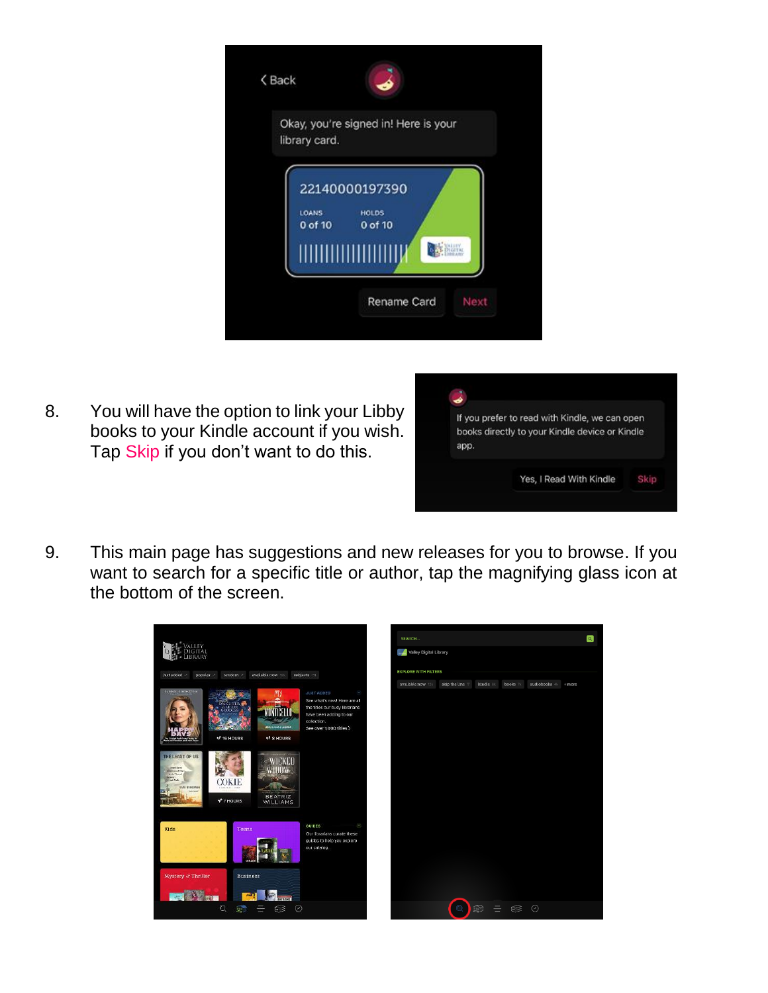|                   | Okay, you're signed in! Here is your |  |
|-------------------|--------------------------------------|--|
| library card.     |                                      |  |
|                   | 22140000197390                       |  |
| LOANS:<br>0 of 10 | <b>HOLDS</b><br>0 of 10              |  |
|                   |                                      |  |

8. You will have the option to link your Libby books to your Kindle account if you wish. Tap Skip if you don't want to do this.



9. This main page has suggestions and new releases for you to browse. If you want to search for a specific title or author, tap the magnifying glass icon at the bottom of the screen.

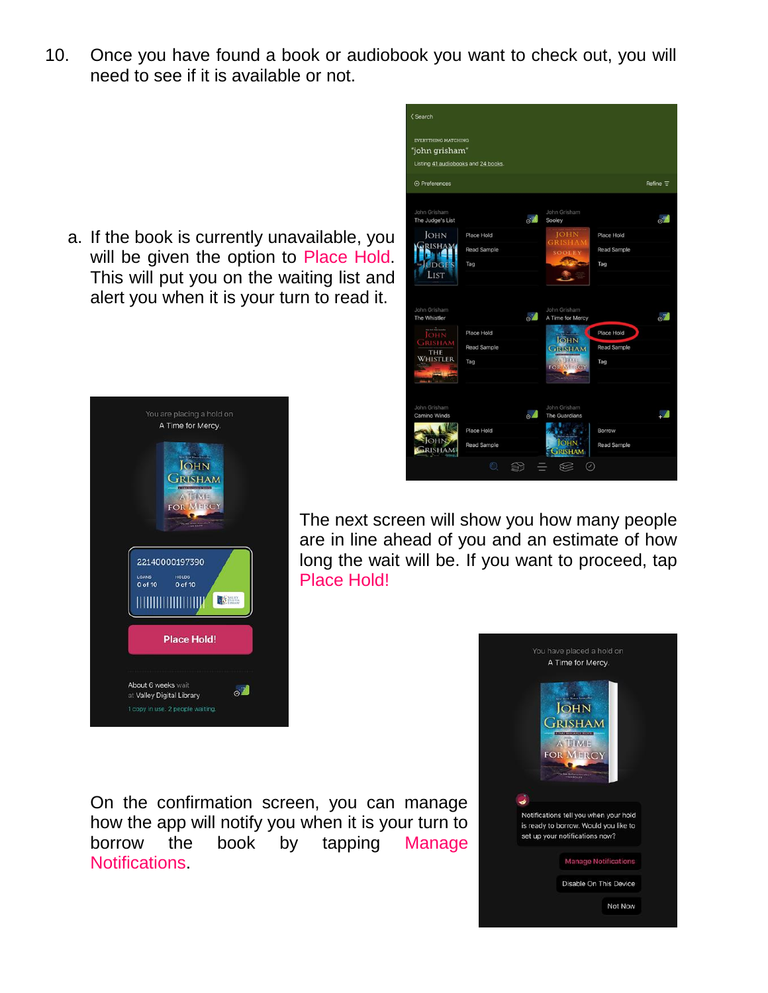10. Once you have found a book or audiobook you want to check out, you will need to see if it is available or not.

< Search

**EVERYTHING MATCHING** 

a. If the book is currently unavailable, you will be given the option to Place Hold. This will put you on the waiting list and alert you when it is your turn to read it.

A Time for Mercy.

22140000197390

HOLDS<br>0 of 10

**Place Hold!** 

 $\circ$ <sup>"</sup>

loans<br>0 of 10

About 6 weeks wait

at Valley Digital Library



**JOHN GRISHAM** TIME OR MERCY The next screen will show you how many people are in line ahead of you and an estimate of how long the wait will be. If you want to proceed, tap Place Hold! **THERE IN THE THEFT IN THE TELEVISION CONSTANTS** 

On the confirmation screen, you can manage how the app will notify you when it is your turn to borrow the book by tapping Manage Notifications.

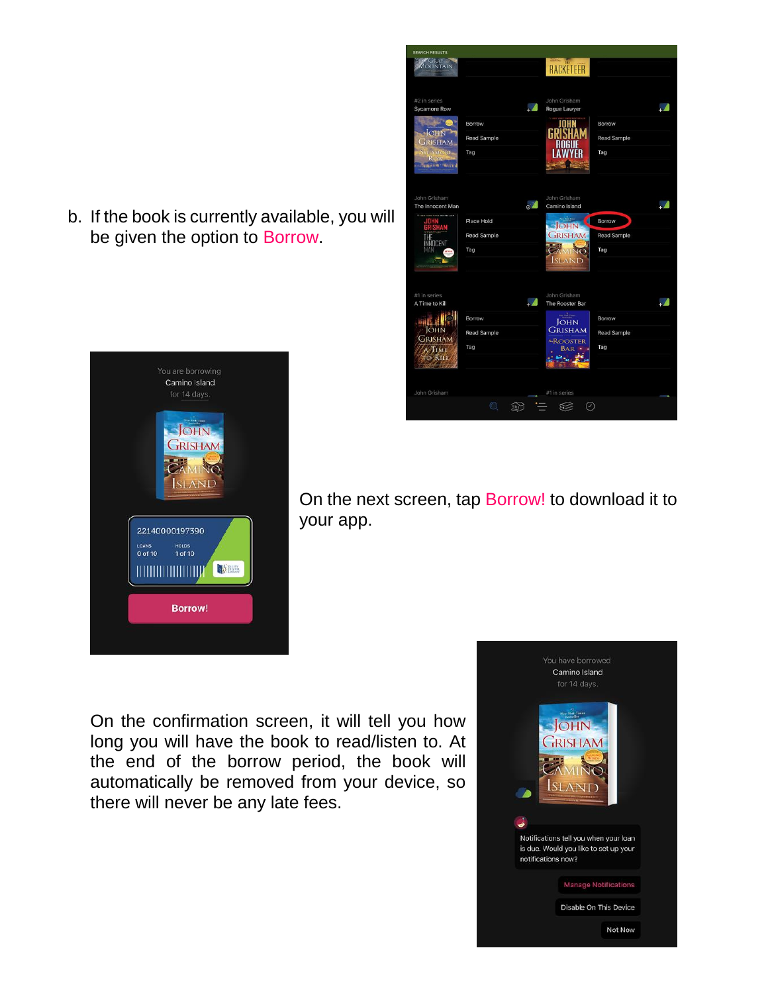b. If the book is currently available, you will be given the option to Borrow.





On the next screen, tap Borrow! to download it to your app.

On the confirmation screen, it will tell you how long you will have the book to read/listen to. At the end of the borrow period, the book will automatically be removed from your device, so there will never be any late fees.